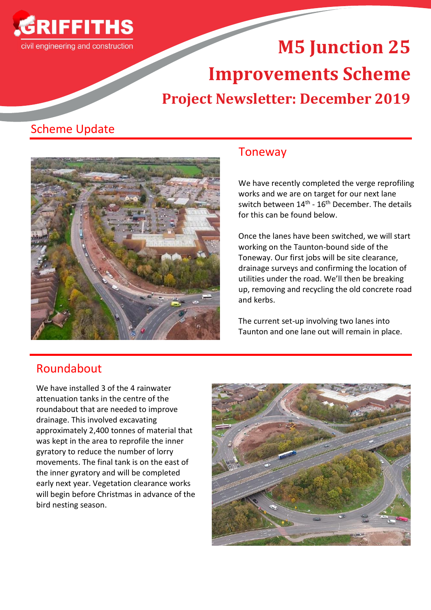

# **M5 Junction 25 Improvements Scheme Project Newsletter: December 2019**

## Scheme Update



### Toneway

We have recently completed the verge reprofiling works and we are on target for our next lane switch between 14<sup>th</sup> - 16<sup>th</sup> December. The details for this can be found below.

Once the lanes have been switched, we will start working on the Taunton-bound side of the Toneway. Our first jobs will be site clearance, drainage surveys and confirming the location of utilities under the road. We'll then be breaking up, removing and recycling the old concrete road and kerbs.

The current set-up involving two lanes into Taunton and one lane out will remain in place.

## Roundabout

We have installed 3 of the 4 rainwater attenuation tanks in the centre of the roundabout that are needed to improve drainage. This involved excavating approximately 2,400 tonnes of material that was kept in the area to reprofile the inner gyratory to reduce the number of lorry movements. The final tank is on the east of the inner gyratory and will be completed early next year. Vegetation clearance works will begin before Christmas in advance of the bird nesting season.